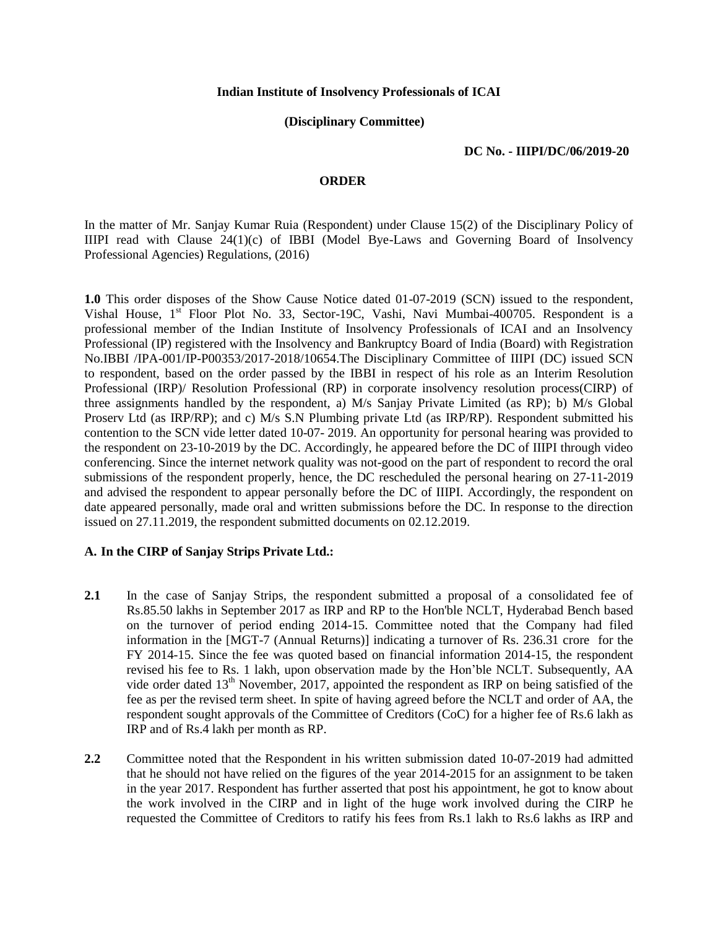#### **Indian Institute of Insolvency Professionals of ICAI**

# **(Disciplinary Committee)**

# **DC No. - IIIPI/DC/06/2019-20**

#### **ORDER**

In the matter of Mr. Sanjay Kumar Ruia (Respondent) under Clause 15(2) of the Disciplinary Policy of IIIPI read with Clause 24(1)(c) of IBBI (Model Bye-Laws and Governing Board of Insolvency Professional Agencies) Regulations, (2016)

**1.0** This order disposes of the Show Cause Notice dated 01-07-2019 (SCN) issued to the respondent, Vishal House, 1<sup>st</sup> Floor Plot No. 33, Sector-19C, Vashi, Navi Mumbai-400705. Respondent is a professional member of the Indian Institute of Insolvency Professionals of ICAI and an Insolvency Professional (IP) registered with the Insolvency and Bankruptcy Board of India (Board) with Registration No.IBBI /IPA-001/IP-P00353/2017-2018/10654.The Disciplinary Committee of IIIPI (DC) issued SCN to respondent, based on the order passed by the IBBI in respect of his role as an Interim Resolution Professional (IRP)/ Resolution Professional (RP) in corporate insolvency resolution process(CIRP) of three assignments handled by the respondent, a) M/s Sanjay Private Limited (as RP); b) M/s Global Proserv Ltd (as IRP/RP); and c) M/s S.N Plumbing private Ltd (as IRP/RP). Respondent submitted his contention to the SCN vide letter dated 10-07- 2019. An opportunity for personal hearing was provided to the respondent on 23-10-2019 by the DC. Accordingly, he appeared before the DC of IIIPI through video conferencing. Since the internet network quality was not-good on the part of respondent to record the oral submissions of the respondent properly, hence, the DC rescheduled the personal hearing on 27-11-2019 and advised the respondent to appear personally before the DC of IIIPI. Accordingly, the respondent on date appeared personally, made oral and written submissions before the DC. In response to the direction issued on 27.11.2019, the respondent submitted documents on 02.12.2019.

# **A. In the CIRP of Sanjay Strips Private Ltd.:**

- **2.1** In the case of Sanjay Strips, the respondent submitted a proposal of a consolidated fee of Rs.85.50 lakhs in September 2017 as IRP and RP to the Hon'ble NCLT, Hyderabad Bench based on the turnover of period ending 2014-15. Committee noted that the Company had filed information in the [MGT-7 (Annual Returns)] indicating a turnover of Rs. 236.31 crore for the FY 2014-15. Since the fee was quoted based on financial information 2014-15, the respondent revised his fee to Rs. 1 lakh, upon observation made by the Hon'ble NCLT. Subsequently, AA vide order dated  $13<sup>th</sup>$  November, 2017, appointed the respondent as IRP on being satisfied of the fee as per the revised term sheet. In spite of having agreed before the NCLT and order of AA, the respondent sought approvals of the Committee of Creditors (CoC) for a higher fee of Rs.6 lakh as IRP and of Rs.4 lakh per month as RP.
- **2.2** Committee noted that the Respondent in his written submission dated 10-07-2019 had admitted that he should not have relied on the figures of the year 2014-2015 for an assignment to be taken in the year 2017. Respondent has further asserted that post his appointment, he got to know about the work involved in the CIRP and in light of the huge work involved during the CIRP he requested the Committee of Creditors to ratify his fees from Rs.1 lakh to Rs.6 lakhs as IRP and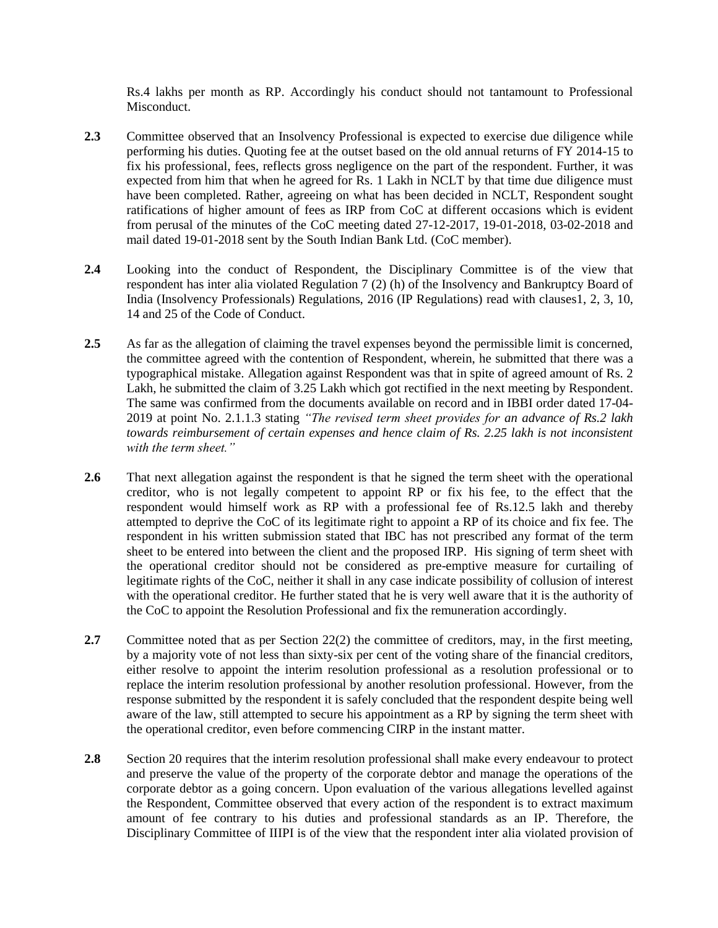Rs.4 lakhs per month as RP. Accordingly his conduct should not tantamount to Professional Misconduct.

- 2.3 Committee observed that an Insolvency Professional is expected to exercise due diligence while performing his duties. Quoting fee at the outset based on the old annual returns of FY 2014-15 to fix his professional, fees, reflects gross negligence on the part of the respondent. Further, it was expected from him that when he agreed for Rs. 1 Lakh in NCLT by that time due diligence must have been completed. Rather, agreeing on what has been decided in NCLT, Respondent sought ratifications of higher amount of fees as IRP from CoC at different occasions which is evident from perusal of the minutes of the CoC meeting dated 27-12-2017, 19-01-2018, 03-02-2018 and mail dated 19-01-2018 sent by the South Indian Bank Ltd. (CoC member).
- **2.4** Looking into the conduct of Respondent, the Disciplinary Committee is of the view that respondent has inter alia violated Regulation 7 (2) (h) of the Insolvency and Bankruptcy Board of India (Insolvency Professionals) Regulations, 2016 (IP Regulations) read with clauses1, 2, 3, 10, 14 and 25 of the Code of Conduct.
- 2.5 As far as the allegation of claiming the travel expenses beyond the permissible limit is concerned, the committee agreed with the contention of Respondent, wherein, he submitted that there was a typographical mistake. Allegation against Respondent was that in spite of agreed amount of Rs. 2 Lakh, he submitted the claim of 3.25 Lakh which got rectified in the next meeting by Respondent. The same was confirmed from the documents available on record and in IBBI order dated 17-04- 2019 at point No. 2.1.1.3 stating *"The revised term sheet provides for an advance of Rs.2 lakh towards reimbursement of certain expenses and hence claim of Rs. 2.25 lakh is not inconsistent with the term sheet."*
- **2.6** That next allegation against the respondent is that he signed the term sheet with the operational creditor, who is not legally competent to appoint RP or fix his fee, to the effect that the respondent would himself work as RP with a professional fee of Rs.12.5 lakh and thereby attempted to deprive the CoC of its legitimate right to appoint a RP of its choice and fix fee. The respondent in his written submission stated that IBC has not prescribed any format of the term sheet to be entered into between the client and the proposed IRP. His signing of term sheet with the operational creditor should not be considered as pre-emptive measure for curtailing of legitimate rights of the CoC, neither it shall in any case indicate possibility of collusion of interest with the operational creditor. He further stated that he is very well aware that it is the authority of the CoC to appoint the Resolution Professional and fix the remuneration accordingly.
- **2.7** Committee noted that as per Section 22(2) the committee of creditors, may, in the first meeting, by a majority vote of not less than sixty-six per cent of the voting share of the financial creditors, either resolve to appoint the interim resolution professional as a resolution professional or to replace the interim resolution professional by another resolution professional. However, from the response submitted by the respondent it is safely concluded that the respondent despite being well aware of the law, still attempted to secure his appointment as a RP by signing the term sheet with the operational creditor, even before commencing CIRP in the instant matter.
- **2.8** Section 20 requires that the interim resolution professional shall make every endeavour to protect and preserve the value of the property of the corporate debtor and manage the operations of the corporate debtor as a going concern. Upon evaluation of the various allegations levelled against the Respondent, Committee observed that every action of the respondent is to extract maximum amount of fee contrary to his duties and professional standards as an IP. Therefore, the Disciplinary Committee of IIIPI is of the view that the respondent inter alia violated provision of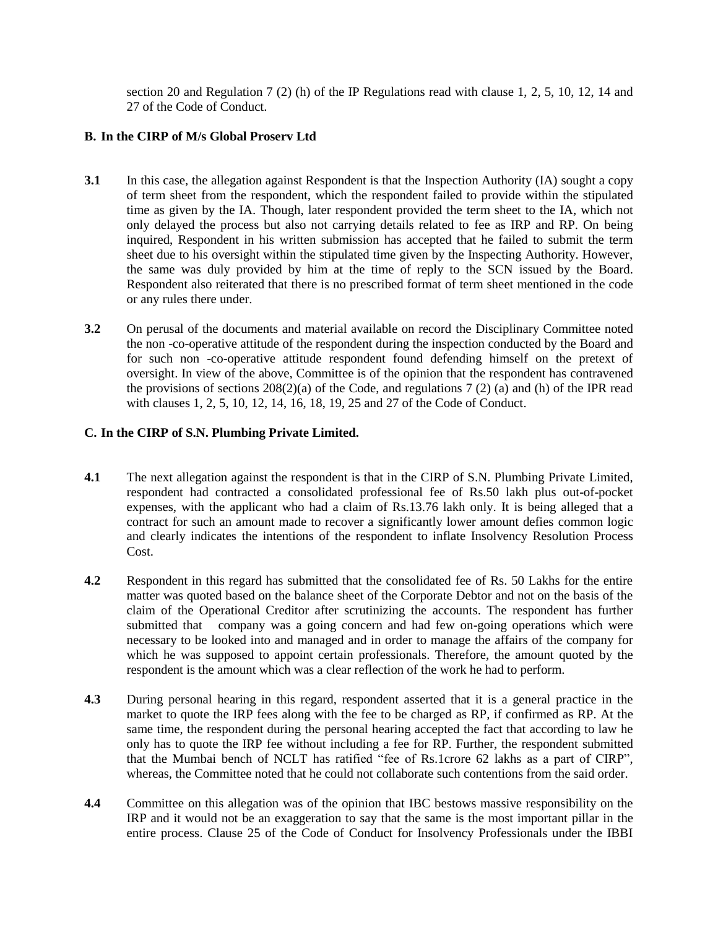section 20 and Regulation 7 (2) (h) of the IP Regulations read with clause 1, 2, 5, 10, 12, 14 and 27 of the Code of Conduct.

# **B. In the CIRP of M/s Global Proserv Ltd**

- **3.1** In this case, the allegation against Respondent is that the Inspection Authority (IA) sought a copy of term sheet from the respondent, which the respondent failed to provide within the stipulated time as given by the IA. Though, later respondent provided the term sheet to the IA, which not only delayed the process but also not carrying details related to fee as IRP and RP. On being inquired, Respondent in his written submission has accepted that he failed to submit the term sheet due to his oversight within the stipulated time given by the Inspecting Authority. However, the same was duly provided by him at the time of reply to the SCN issued by the Board. Respondent also reiterated that there is no prescribed format of term sheet mentioned in the code or any rules there under.
- **3.2** On perusal of the documents and material available on record the Disciplinary Committee noted the non -co-operative attitude of the respondent during the inspection conducted by the Board and for such non -co-operative attitude respondent found defending himself on the pretext of oversight. In view of the above, Committee is of the opinion that the respondent has contravened the provisions of sections  $208(2)(a)$  of the Code, and regulations 7 (2) (a) and (h) of the IPR read with clauses 1, 2, 5, 10, 12, 14, 16, 18, 19, 25 and 27 of the Code of Conduct.

# **C. In the CIRP of S.N. Plumbing Private Limited.**

- **4.1** The next allegation against the respondent is that in the CIRP of S.N. Plumbing Private Limited, respondent had contracted a consolidated professional fee of Rs.50 lakh plus out-of-pocket expenses, with the applicant who had a claim of Rs.13.76 lakh only. It is being alleged that a contract for such an amount made to recover a significantly lower amount defies common logic and clearly indicates the intentions of the respondent to inflate Insolvency Resolution Process Cost.
- **4.2** Respondent in this regard has submitted that the consolidated fee of Rs. 50 Lakhs for the entire matter was quoted based on the balance sheet of the Corporate Debtor and not on the basis of the claim of the Operational Creditor after scrutinizing the accounts. The respondent has further submitted that company was a going concern and had few on-going operations which were necessary to be looked into and managed and in order to manage the affairs of the company for which he was supposed to appoint certain professionals. Therefore, the amount quoted by the respondent is the amount which was a clear reflection of the work he had to perform.
- **4.3** During personal hearing in this regard, respondent asserted that it is a general practice in the market to quote the IRP fees along with the fee to be charged as RP, if confirmed as RP. At the same time, the respondent during the personal hearing accepted the fact that according to law he only has to quote the IRP fee without including a fee for RP. Further, the respondent submitted that the Mumbai bench of NCLT has ratified "fee of Rs.1crore 62 lakhs as a part of CIRP", whereas, the Committee noted that he could not collaborate such contentions from the said order.
- **4.4** Committee on this allegation was of the opinion that IBC bestows massive responsibility on the IRP and it would not be an exaggeration to say that the same is the most important pillar in the entire process. Clause 25 of the Code of Conduct for Insolvency Professionals under the IBBI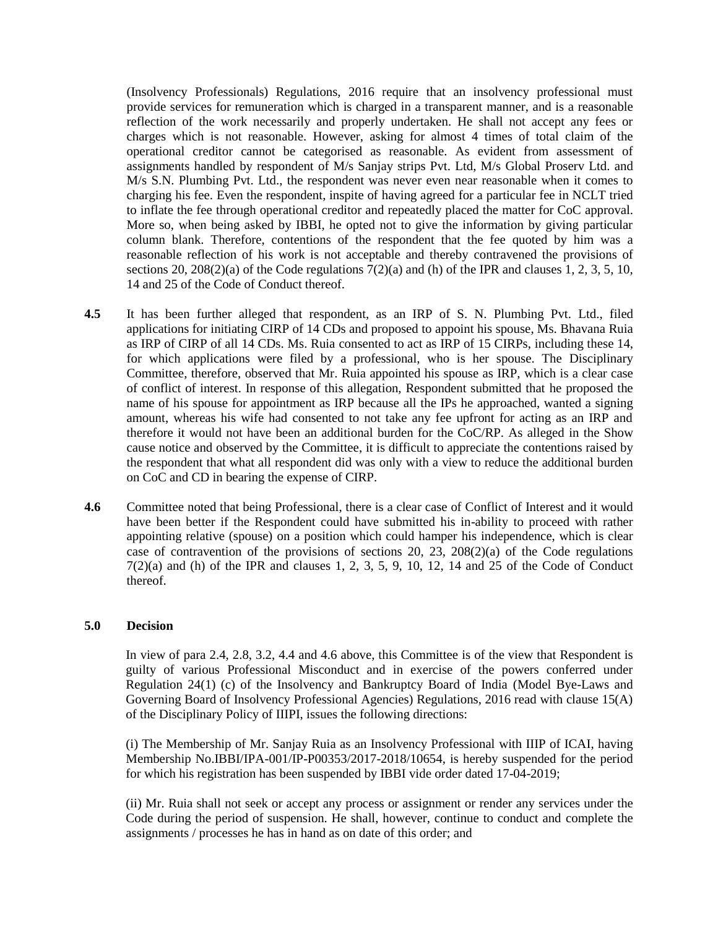(Insolvency Professionals) Regulations, 2016 require that an insolvency professional must provide services for remuneration which is charged in a transparent manner, and is a reasonable reflection of the work necessarily and properly undertaken. He shall not accept any fees or charges which is not reasonable. However, asking for almost 4 times of total claim of the operational creditor cannot be categorised as reasonable. As evident from assessment of assignments handled by respondent of M/s Sanjay strips Pvt. Ltd, M/s Global Proserv Ltd. and M/s S.N. Plumbing Pvt. Ltd., the respondent was never even near reasonable when it comes to charging his fee. Even the respondent, inspite of having agreed for a particular fee in NCLT tried to inflate the fee through operational creditor and repeatedly placed the matter for CoC approval. More so, when being asked by IBBI, he opted not to give the information by giving particular column blank. Therefore, contentions of the respondent that the fee quoted by him was a reasonable reflection of his work is not acceptable and thereby contravened the provisions of sections 20, 208(2)(a) of the Code regulations  $7(2)(a)$  and (h) of the IPR and clauses 1, 2, 3, 5, 10, 14 and 25 of the Code of Conduct thereof.

- **4.5** It has been further alleged that respondent, as an IRP of S. N. Plumbing Pvt. Ltd., filed applications for initiating CIRP of 14 CDs and proposed to appoint his spouse, Ms. Bhavana Ruia as IRP of CIRP of all 14 CDs. Ms. Ruia consented to act as IRP of 15 CIRPs, including these 14, for which applications were filed by a professional, who is her spouse. The Disciplinary Committee, therefore, observed that Mr. Ruia appointed his spouse as IRP, which is a clear case of conflict of interest. In response of this allegation, Respondent submitted that he proposed the name of his spouse for appointment as IRP because all the IPs he approached, wanted a signing amount, whereas his wife had consented to not take any fee upfront for acting as an IRP and therefore it would not have been an additional burden for the CoC/RP. As alleged in the Show cause notice and observed by the Committee, it is difficult to appreciate the contentions raised by the respondent that what all respondent did was only with a view to reduce the additional burden on CoC and CD in bearing the expense of CIRP.
- **4.6** Committee noted that being Professional, there is a clear case of Conflict of Interest and it would have been better if the Respondent could have submitted his in-ability to proceed with rather appointing relative (spouse) on a position which could hamper his independence, which is clear case of contravention of the provisions of sections 20, 23, 208(2)(a) of the Code regulations  $7(2)(a)$  and (h) of the IPR and clauses 1, 2, 3, 5, 9, 10, 12, 14 and 25 of the Code of Conduct thereof.

### **5.0 Decision**

In view of para 2.4, 2.8, 3.2, 4.4 and 4.6 above, this Committee is of the view that Respondent is guilty of various Professional Misconduct and in exercise of the powers conferred under Regulation 24(1) (c) of the Insolvency and Bankruptcy Board of India (Model Bye-Laws and Governing Board of Insolvency Professional Agencies) Regulations, 2016 read with clause 15(A) of the Disciplinary Policy of IIIPI, issues the following directions:

(i) The Membership of Mr. Sanjay Ruia as an Insolvency Professional with IIIP of ICAI, having Membership No.IBBI/IPA-001/IP-P00353/2017-2018/10654, is hereby suspended for the period for which his registration has been suspended by IBBI vide order dated 17-04-2019;

(ii) Mr. Ruia shall not seek or accept any process or assignment or render any services under the Code during the period of suspension. He shall, however, continue to conduct and complete the assignments / processes he has in hand as on date of this order; and